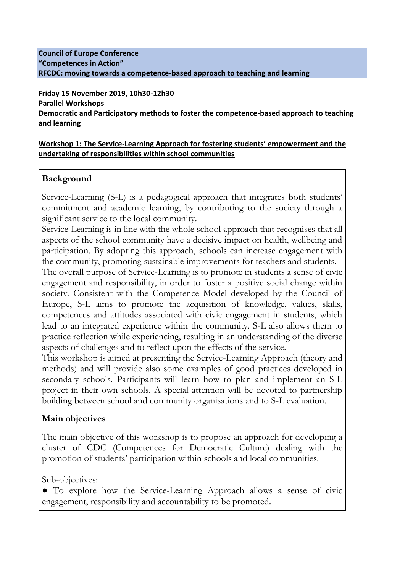#### **Council of Europe Conference "Competences in Action" RFCDC: moving towards a competence-based approach to teaching and learning**

**Friday 15 November 2019, 10h30-12h30 Parallel Workshops Democratic and Participatory methods to foster the competence-based approach to teaching and learning**

#### **Workshop 1: The Service-Learning Approach for fostering students' empowerment and the undertaking of responsibilities within school communities**

### **Background**

Service-Learning (S-L) is a pedagogical approach that integrates both students' commitment and academic learning, by contributing to the society through a significant service to the local community.

Service-Learning is in line with the whole school approach that recognises that all aspects of the school community have a decisive impact on health, wellbeing and participation. By adopting this approach, schools can increase engagement with the community, promoting sustainable improvements for teachers and students.

The overall purpose of Service-Learning is to promote in students a sense of civic engagement and responsibility, in order to foster a positive social change within society. Consistent with the Competence Model developed by the Council of Europe, S-L aims to promote the acquisition of knowledge, values, skills, competences and attitudes associated with civic engagement in students, which lead to an integrated experience within the community. S-L also allows them to practice reflection while experiencing, resulting in an understanding of the diverse aspects of challenges and to reflect upon the effects of the service.

This workshop is aimed at presenting the Service-Learning Approach (theory and methods) and will provide also some examples of good practices developed in secondary schools. Participants will learn how to plan and implement an S-L project in their own schools. A special attention will be devoted to partnership building between school and community organisations and to S-L evaluation.

## **Main objectives**

The main objective of this workshop is to propose an approach for developing a cluster of CDC (Competences for Democratic Culture) dealing with the promotion of students' participation within schools and local communities.

Sub-objectives:

• To explore how the Service-Learning Approach allows a sense of civic engagement, responsibility and accountability to be promoted.